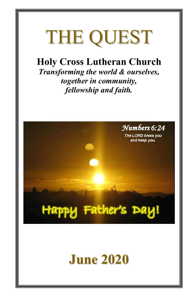## THE QUEST

### **Holy Cross Lutheran Church**

*Transforming the world & ourselves, together in community, fellowship and faith.*

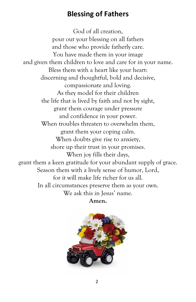#### **Blessing of Fathers**

God of all creation, pour out your blessing on all fathers and those who provide fatherly care. You have made them in your image and given them children to love and care for in your name. Bless them with a heart like your heart: discerning and thoughtful, bold and decisive, compassionate and loving. As they model for their children the life that is lived by faith and not by sight, grant them courage under pressure and confidence in your power. When troubles threaten to overwhelm them. grant them your coping calm. When doubts give rise to anxiety, shore up their trust in your promises. When joy fills their days, grant them a keen gratitude for your abundant supply of grace. Season them with a lively sense of humor, Lord, for it will make life richer for us all. In all circumstances preserve them as your own. We ask this in Jesus' name. **Amen.**

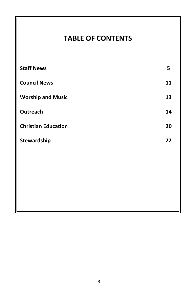#### **TABLE OF CONTENTS**

| <b>Staff News</b>          | 5  |
|----------------------------|----|
| <b>Council News</b>        | 11 |
| <b>Worship and Music</b>   | 13 |
| Outreach                   | 14 |
| <b>Christian Education</b> | 20 |
| Stewardship                | 22 |
|                            |    |
|                            |    |
|                            |    |
|                            |    |
|                            |    |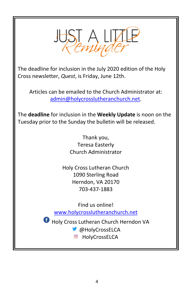

The deadline for inclusion in the July 2020 edition of the Holy Cross newsletter, *Quest*, is Friday, June 12th.

Articles can be emailed to the Church Administrator at: [admin@holycrosslutheranchurch.net.](mailto:admin@holycrosslutheranchurch.net)

The **deadline** for inclusion in the **Weekly Update** is noon on the Tuesday prior to the Sunday the bulletin will be released.

> Thank you, Teresa Easterly Church Administrator

Holy Cross Lutheran Church 1090 Sterling Road Herndon, VA 20170 703-437-1883

Find us online!

www.holycrosslutheranchurch.net

Holy Cross Lutheran Church Herndon VA

**C**HolyCrossELCA

C HolyCrossELCA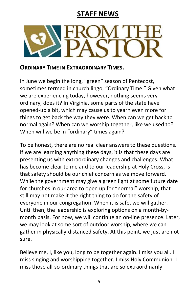#### **STAFF NEWS**



#### **ORDINARY TIME IN EXTRAORDINARY TIMES.**

In June we begin the long, "green" season of Pentecost, sometimes termed in church lingo, "Ordinary Time." Given what we are experiencing today, however, nothing seems very ordinary, does it? In Virginia, some parts of the state have opened-up a bit, which may cause us to yearn even more for things to get back the way they were. When can we get back to normal again? When can we worship together, like we used to? When will we be in "ordinary" times again?

To be honest, there are no real clear answers to these questions. If we are learning anything these days, it is that these days are presenting us with extraordinary changes and challenges. What has become clear to me and to our leadership at Holy Cross, is that safety should be our chief concern as we move forward. While the government may give a green light at some future date for churches in our area to open up for "normal" worship, that still may not make it the right thing to do for the safety of everyone in our congregation. When it is safe, we will gather. Until then, the leadership is exploring options on a month-bymonth basis. For now, we will continue an on-line presence. Later, we may look at some sort of outdoor worship, where we can gather in physically-distanced safety. At this point, we just are not sure.

Believe me, I, like you, long to be together again. I miss you all. I miss singing and worshipping together. I miss Holy Communion. I miss those all-so-ordinary things that are so extraordinarily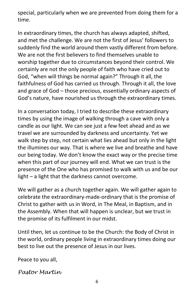special, particularly when we are prevented from doing them for a time.

In extraordinary times, the church has always adapted, shifted, and met the challenge. We are not the first of Jesus' followers to suddenly find the world around them vastly different from before. We are not the first believers to find themselves unable to worship together due to circumstances beyond their control. We certainly are not the only people of faith who have cried out to God, "when will things be normal again?" Through it all, the faithfulness of God has carried us through. Through it all, the love and grace of God – those precious, essentially ordinary aspects of God's nature, have nourished us through the extraordinary times.

In a conversation today, I tried to describe these extraordinary times by using the image of walking through a cave with only a candle as our light. We can see just a few feet ahead and as we travel we are surrounded by darkness and uncertainty. Yet we walk step by step, not certain what lies ahead but only in the light the illumines our way. That is where we live and breathe and have our being today. We don't know the exact way or the precise time when this part of our journey will end. What we can trust is the presence of the One who has promised to walk with us and be our light – a light that the darkness cannot overcome.

We will gather as a church together again. We will gather again to celebrate the extraordinary-made-ordinary that is the promise of Christ to gather with us in Word, in The Meal, in Baptism, and in the Assembly. When that will happen is unclear, but we trust in the promise of its fulfilment in our midst.

Until then, let us continue to be the Church: the Body of Christ in the world, ordinary people living in extraordinary times doing our best to live out the presence of Jesus in our lives.

Peace to you all,

*Pastor Martin*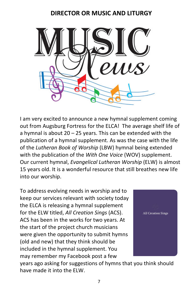#### **DIRECTOR OR MUSIC AND LITURGY**



I am very excited to announce a new hymnal supplement coming out from Augsburg Fortress for the ELCA! The average shelf life of a hymnal is about 20 – 25 years. This can be extended with the publication of a hymnal supplement. As was the case with the life of the *Lutheran Book of Worship* (LBW) hymnal being extended with the publication of the *With One Voice* (WOV) supplement. Our current hymnal, *Evangelical Lutheran Worship* (ELW) is almost 15 years old. It is a wonderful resource that still breathes new life into our worship.

To address evolving needs in worship and to keep our services relevant with society today the ELCA is releasing a hymnal supplement for the ELW titled, *All Creation Sings* (ACS). ACS has been in the works for two years. At the start of the project church musicians were given the opportunity to submit hymns (old and new) that they think should be included in the hymnal supplement. You may remember my Facebook post a few



years ago asking for suggestions of hymns that you think should have made it into the ELW.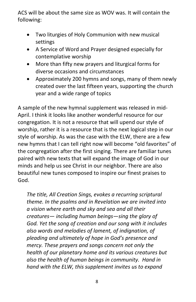ACS will be about the same size as WOV was. It will contain the following:

- Two liturgies of Holy Communion with new musical settings
- A Service of Word and Prayer designed especially for contemplative worship
- More than fifty new prayers and liturgical forms for diverse occasions and circumstances
- Approximately 200 hymns and songs, many of them newly created over the last fifteen years, supporting the church year and a wide range of topics

A sample of the new hymnal supplement was released in mid-April. I think it looks like another wonderful resource for our congregation. It is not a resource that will upend our style of worship, rather it is a resource that is the next logical step in our style of worship. As was the case with the ELW, there are a few new hymns that I can tell right now will become "old favorites" of the congregation after the first singing. There are familiar tunes paired with new texts that will expand the image of God in our minds and help us see Christ in our neighbor. There are also beautiful new tunes composed to inspire our finest praises to God.

*The title, All Creation Sings, evokes a recurring scriptural theme. In the psalms and in Revelation we are invited into a vision where earth and sky and sea and all their creatures— including human beings—sing the glory of God. Yet the song of creation and our song with it includes also words and melodies of lament, of indignation, of pleading and ultimately of hope in God's presence and mercy. These prayers and songs concern not only the health of our planetary home and its various creatures but also the health of human beings in community. Hand in hand with the ELW, this supplement invites us to expand*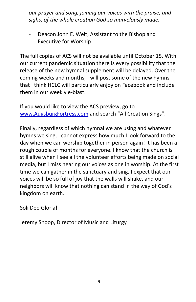*our prayer and song, joining our voices with the praise, and sighs, of the whole creation God so marvelously made.*

- Deacon John E. Weit, Assistant to the Bishop and Executive for Worship

The full copies of ACS will not be available until October 15. With our current pandemic situation there is every possibility that the release of the new hymnal supplement will be delayed. Over the coming weeks and months, I will post some of the new hymns that I think HCLC will particularly enjoy on Facebook and include them in our weekly e-blast.

If you would like to view the ACS preview, go to www.AugsburgFortress.com and search "All Creation Sings".

Finally, regardless of which hymnal we are using and whatever hymns we sing, I cannot express how much I look forward to the day when we can worship together in person again! It has been a rough couple of months for everyone. I know that the church is still alive when I see all the volunteer efforts being made on social media, but I miss hearing our voices as one in worship. At the first time we can gather in the sanctuary and sing, I expect that our voices will be so full of joy that the walls will shake, and our neighbors will know that nothing can stand in the way of God's kingdom on earth.

Soli Deo Gloria!

Jeremy Shoop, Director of Music and Liturgy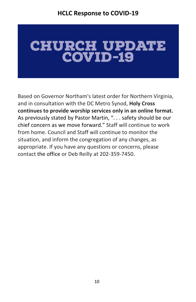# **CHURCH UPDATE**<br>COVID-19

Based on Governor Northam's latest order for Northern Virginia, and in consultation with the DC Metro Synod, **Holy Cross continues to provide worship services only in an online format.**  As previously stated by Pastor Martin, ". . . safety should be our chief concern as we move forward." Staff will continue to work from home. Council and Staff will continue to monitor the situation, and inform the congregation of any changes, as appropriate. If you have any questions or concerns, please contact [the office](mailto:Admin@HolyCrossLutheranChurch.net) or Deb Reilly at 202-359-7450.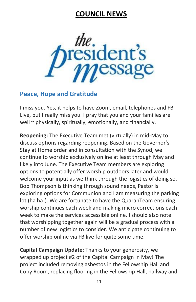#### **COUNCIL NEWS**



#### **Peace, Hope and Gratitude**

I miss you. Yes, it helps to have Zoom, email, telephones and FB Live, but I really miss you. I pray that you and your families are well ~ physically, spiritually, emotionally, and financially.

**Reopening:** The Executive Team met (virtually) in mid-May to discuss options regarding reopening. Based on the Governor's Stay at Home order and in consultation with the Synod, we continue to worship exclusively online at least through May and likely into June. The Executive Team members are exploring options to potentially offer worship outdoors later and would welcome your input as we think through the logistics of doing so. Bob Thompson is thinking through sound needs, Pastor is exploring options for Communion and I am measuring the parking lot (ha ha!). We are fortunate to have the QuaranTeam ensuring worship continues each week and making micro corrections each week to make the services accessible online. I should also note that worshipping together again will be a gradual process with a number of new logistics to consider. We anticipate continuing to offer worship online via FB live for quite some time.

**Capital Campaign Update**: Thanks to your generosity, we wrapped up project #2 of the Capital Campaign in May! The project included removing asbestos in the Fellowship Hall and Copy Room, replacing flooring in the Fellowship Hall, hallway and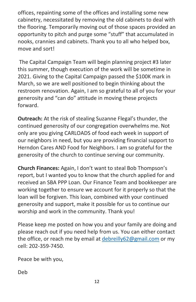offices, repainting some of the offices and installing some new cabinetry, necessitated by removing the old cabinets to deal with the flooring. Temporarily moving out of those spaces provided an opportunity to pitch and purge some "stuff" that accumulated in nooks, crannies and cabinets. Thank you to all who helped box, move and sort!

The Capital Campaign Team will begin planning project #3 later this summer, though execution of the work will be sometime in 2021. Giving to the Capital Campaign passed the \$100K mark in March, so we are well positioned to begin thinking about the restroom renovation. Again, I am so grateful to all of you for your generosity and "can do" attitude in moving these projects forward.

**Outreach:** At the risk of stealing Suzanne Flegal's thunder, the continued generosity of our congregation overwhelms me. Not only are you giving CARLOADS of food each week in support of our neighbors in need, but you are providing financial support to Herndon Cares AND Food for Neighbors. I am so grateful for the generosity of the church to continue serving our community.

**Church Finances:** Again, I don't want to steal Bob Thompson's report, but I wanted you to know that the church applied for and received an SBA PPP Loan. Our Finance Team and bookkeeper are working together to ensure we account for it properly so that the loan will be forgiven. This loan, combined with your continued generosity and support, make it possible for us to continue our worship and work in the community. Thank you!

Please keep me posted on how you and your family are doing and please reach out if you need help from us. You can either contact the office, or reach me by email at [debreilly62@gmail.com](mailto:debreilly62@gmail.com) or my cell: 202-359-7450.

Peace be with you,

Deb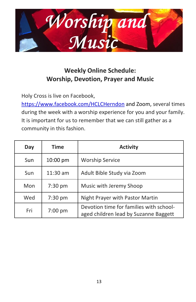

#### **Weekly Online Schedule: Worship, Devotion, Prayer and Music**

Holy Cross is live on Facebook,

<https://www.facebook.com/HCLCHerndon> and Zoom, several times during the week with a worship experience for you and your family. It is important for us to remember that we can still gather as a community in this fashion.

| Day | Time               | <b>Activity</b>                                                                  |
|-----|--------------------|----------------------------------------------------------------------------------|
| Sun | $10:00 \text{ pm}$ | <b>Worship Service</b>                                                           |
| Sun | $11:30$ am         | Adult Bible Study via Zoom                                                       |
| Mon | $7:30$ pm          | Music with Jeremy Shoop                                                          |
| Wed | 7:30 pm            | Night Prayer with Pastor Martin                                                  |
| Fri | $7:00$ pm          | Devotion time for families with school-<br>aged children lead by Suzanne Baggett |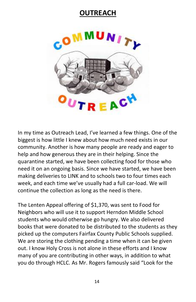#### **OUTREACH**



In my time as Outreach Lead, I've learned a few things. One of the biggest is how little I knew about how much need exists in our community. Another is how many people are ready and eager to help and how generous they are in their helping. Since the quarantine started, we have been collecting food for those who need it on an ongoing basis. Since we have started, we have been making deliveries to LINK and to schools two to four times each week, and each time we've usually had a full car-load. We will continue the collection as long as the need is there.

The Lenten Appeal offering of \$1,370, was sent to Food for Neighbors who will use it to support Herndon Middle School students who would otherwise go hungry. We also delivered books that were donated to be distributed to the students as they picked up the computers Fairfax County Public Schools supplied. We are storing the clothing pending a time when it can be given out. I know Holy Cross is not alone in these efforts and I know many of you are contributing in other ways, in addition to what you do through HCLC. As Mr. Rogers famously said "Look for the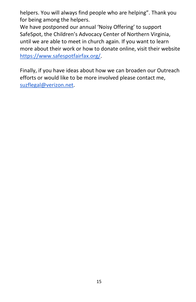helpers. You will always find people who are helping". Thank you for being among the helpers.

We have postponed our annual 'Noisy Offering' to support SafeSpot, the Children's Advocacy Center of Northern Virginia, until we are able to meet in church again. If you want to learn more about their work or how to donate online, visit their website [https://www.safespotfairfax.org/.](https://www.safespotfairfax.org/)

Finally, if you have ideas about how we can broaden our Outreach efforts or would like to be more involved please contact me, [suzflegal@verizon.net.](mailto:suzflegal@verizon.net)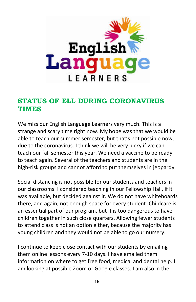

#### **STATUS OF ELL DURING CORONAVIRUS TIMES**

We miss our English Language Learners very much. This is a strange and scary time right now. My hope was that we would be able to teach our summer semester, but that's not possible now, due to the coronavirus. I think we will be very lucky if we can teach our fall semester this year. We need a vaccine to be ready to teach again. Several of the teachers and students are in the high-risk groups and cannot afford to put themselves in jeopardy.

Social distancing is not possible for our students and teachers in our classrooms. I considered teaching in our Fellowship Hall, if it was available, but decided against it. We do not have whiteboards there, and again, not enough space for every student. Childcare is an essential part of our program, but it is too dangerous to have children together in such close quarters. Allowing fewer students to attend class is not an option either, because the majority has young children and they would not be able to go our nursery.

I continue to keep close contact with our students by emailing them online lessons every 7-10 days. I have emailed them information on where to get free food, medical and dental help. I am looking at possible Zoom or Google classes. I am also in the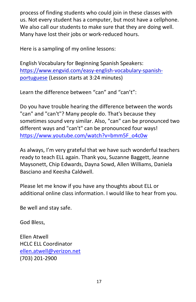process of finding students who could join in these classes with us. Not every student has a computer, but most have a cellphone. We also call our students to make sure that they are doing well. Many have lost their jobs or work-reduced hours.

Here is a sampling of my online lessons:

English Vocabulary for Beginning Spanish Speakers: https://www.engvid.com/easy-english-vocabulary-spanishportuguese (Lesson starts at 3:24 minutes)

Learn the difference between "can" and "can't":

Do you have trouble hearing the difference between the words "can" and "can't"? Many people do. That's because they sometimes sound very similar. Also, "can" can be pronounced two different ways and "can't" can be pronounced four ways! [https://www.youtube.com/watch?v=bmm5F\\_o4c0w](about:blank)

As always, I'm very grateful that we have such wonderful teachers ready to teach ELL again. Thank you, Suzanne Baggett, Jeanne Maysonett, Chip Edwards, Dayna Sowd, Allen Williams, Daniela Basciano and Keesha Caldwell.

Please let me know if you have any thoughts about ELL or additional online class information. I would like to hear from you.

Be well and stay safe.

God Bless,

Ellen Atwell HCLC ELL Coordinator [ellen.atwell@verizon.net](about:blank) (703) 201-2900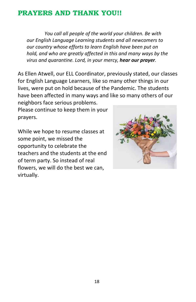#### **PRAYERS AND THANK YOU!!**

*You call all people of the world your children. Be with our English Language Learning students and all newcomers to our country whose efforts to learn English have been put on hold, and who are greatly affected in this and many ways by the virus and quarantine. Lord, in your mercy, hear our prayer.*

As Ellen Atwell, our ELL Coordinator, previously stated, our classes for English Language Learners, like so many other things in our lives, were put on hold because of the Pandemic. The students have been affected in many ways and like so many others of our neighbors face serious problems.

Please continue to keep them in your prayers.

While we hope to resume classes at some point, we missed the opportunity to celebrate the teachers and the students at the end of term party. So instead of real flowers, we will do the best we can, virtually.

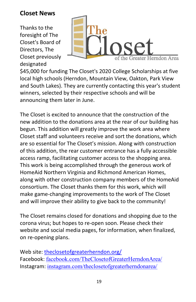#### **Closet News**

Thanks to the foresight of The Closet's Board of Directors, The Closet previously designated



\$45,000 for funding The Closet's 2020 College Scholarships at five local high schools (Herndon, Mountain View, Oakton, Park View and South Lakes). They are currently contacting this year's student winners, selected by their respective schools and will be announcing them later in June.

The Closet is excited to announce that the construction of the new addition to the donations area at the rear of our building has begun. This addition will greatly improve the work area where Closet staff and volunteers receive and sort the donations, which are so essential for The Closet's mission. Along with construction of this addition, the rear customer entrance has a fully accessible access ramp, facilitating customer access to the shopping area. This work is being accomplished through the generous work of HomeAid Northern Virginia and Richmond American Homes, along with other construction company members of the HomeAid consortium. The Closet thanks them for this work, which will make game-changing improvements to the work of The Closet and will improve their ability to give back to the community!

The Closet remains closed for donations and shopping due to the corona virus; but hopes to re-open soon. Please check their website and social media pages, for information, when finalized, on re-opening plans.

Web site: [theclosetofgreaterherndon.org/](http://theclosetofgreaterherndon.org/) Facebook: [facebook.com/TheClosetofGreaterHerndonArea/](https://www.facebook.com/TheClosetofGreaterHerndonArea/) Instagram: [instagram.com/theclosetofgreaterherndonarea/](https://www.instagram.com/theclosetofgreaterherndonarea/)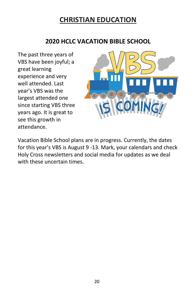#### **CHRISTIAN EDUCATION**

#### **2020 HCLC VACATION BIBLE SCHOOL**

The past three years of VBS have been joyful; a great learning experience and very well attended. Last year's VBS was the largest attended one since starting VBS three years ago. It is great to see this growth in attendance.



Vacation Bible School plans are in progress. Currently, the dates for this year's VBS is August 9 -13. Mark, your calendars and check Holy Cross newsletters and social media for updates as we deal with these uncertain times.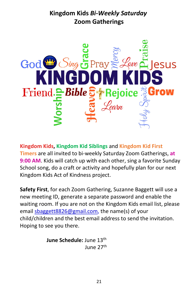#### **Kingdom Kids** *Bi-Weekly Saturday* **Zoom Gatherings**



**Kingdom Kids, Kingdom Kid Siblings** and **Kingdom Kid First Timers** are all invited to bi-weekly Saturday Zoom Gatherings, **at 9:00 AM**. Kids will catch up with each other, sing a favorite Sunday School song, do a craft or activity and hopefully plan for our next Kingdom Kids Act of Kindness project.

**Safety First**, for each Zoom Gathering, Suzanne Baggett will use a new meeting ID, generate a separate password and enable the waiting room. If you are not on the Kingdom Kids email list, please email [sbaggett8826@gmail.com,](mailto:sbaggett8826@gmail.com) the name(s) of your child/children and the best email address to send the invitation. Hoping to see you there.

> **June Schedule: June 13th** June 27th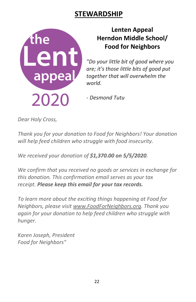#### **STEWARDSHIP**



#### **Lenten Appeal Herndon Middle School/ Food for Neighbors**

*"Do your little bit of good where you are; it's those little bits of good put together that will overwhelm the world.* 

*- Desmond Tutu*

*Dear Holy Cross,*

*Thank you for your donation to Food for Neighbors! Your donation will help feed children who struggle with food insecurity.*

*We received your donation of \$1,370.00 on 5/5/2020.*

*We confirm that you received no goods or services in exchange for this donation. This confirmation email serves as your tax receipt. Please keep this email for your tax records.*

*To learn more about the exciting things happening at Food for Neighbors, please visit [www.FoodForNeighbors.org.](https://holycrosslutheranchurch.us12.list-manage.com/track/click?u=dcb81fad4dafd915e64dd4770&id=45e8a01a19&e=f61faee5e8) Thank you again for your donation to help feed children who struggle with hunger.*

*Karen Joseph, President Food for Neighbors"*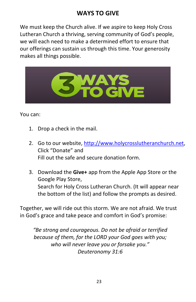#### **WAYS TO GIVE**

We must keep the Church alive. If we aspire to keep Holy Cross Lutheran Church a thriving, serving community of God's people, we will each need to make a determined effort to ensure that our offerings can sustain us through this time. Your generosity makes all things possible.



You can:

- 1. Drop a check in the mail.
- 2. Go to our website, [http://www.holycrosslutheranchurch.net,](http://www.holycrosslutheranchurch.net/) Click "Donate" and Fill out the safe and secure donation form.
- 3. Download the **Give+** app from the Apple App Store or the Google Play Store, Search for Holy Cross Lutheran Church. (It will appear near the bottom of the list) and follow the prompts as desired.

Together, we will ride out this storm. We are not afraid. We trust in God's grace and take peace and comfort in God's promise:

*"Be strong and courageous. Do not be afraid or terrified because of them, for the LORD your God goes with you; who will never leave you or forsake you." Deuteronomy 31:6*